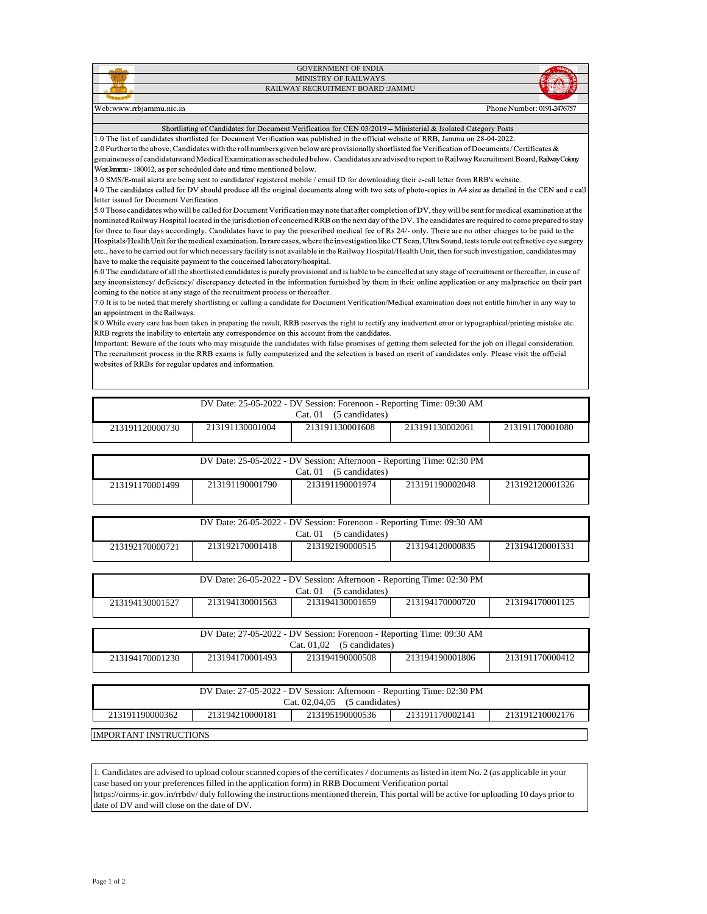|                         | <b>GOVERNMENT OF INDIA</b>        |                            |
|-------------------------|-----------------------------------|----------------------------|
|                         | MINISTRY OF RAILWAYS              |                            |
|                         | RAILWAY RECRUITMENT BOARD : JAMMU |                            |
|                         |                                   |                            |
| Web:www.rrbiammu.nic.in |                                   | Phone Number: 0191-2476757 |

Web:www.rrbjammu.nic.in

## Shortlisting of Candidates for Document Verification for CEN 03/2019 - Ministerial & Isolated Category Posts

1.0 The list of candidates shortlisted for Document Verification was published in the official website of RRB, Jammu on 28-04-2022. 2.0 Further to the above, Candidates with the roll numbers given below are provisionally shortlisted for Verification of Documents / Certificates & genuineness of candidature and Medical Examination as scheduled below. Candidates are advised to report to Railway Recruitment Board, Railway Colony West kmmu-180012, as per scheduled date and time mentioned below.

3.0 SMS/E-mail alerts are being sent to candidates' registered mobile / email ID for downloading their e-call letter from RRB's website.

4.0 The candidates called for DV should produce all the original documents along with two sets of photo-copies in A4 size as detailed in the CEN and e call letter issued for Document Verification.

5.0 Those candidates who will be called for Document Verification may note that after completion of DV, they will be sent for medical examination at the nominated Railway Hospital located in the jurisdiction of concerned RRB on the next day of the DV. The candidates are required to come prepared to stay for three to four days accordingly. Candidates have to pay the prescribed medical fee of Rs 24/- only. There are no other charges to be paid to the Hospitals/Health Unit for the medical examination. In rare cases, where the investigation like CT Scan, Ultra Sound, tests to rule out refractive eye surgery

etc., have to be carried out for which necessary facility is not available in the Railway Hospital/Health Unit, then for such investigation, candidates may have to make the requisite payment to the concerned laboratory/hospital.

6.0 The candidature of all the shortlisted candidates is purely provisional and is liable to be cancelled at any stage of recruitment or thereafter, in case of any inconsistency/deficiency/discrepancy detected in the information furnished by them in their online application or any malpractice on their part coming to the notice at any stage of the recruitment process or thereafter.

7.0 It is to be noted that merely shortlisting or calling a candidate for Document Verification/Medical examination does not entitle him/her in any way to an appointment in the Railways.

8.0 While every care has been taken in preparing the result, RRB reserves the right to rectify any inadvertent error or typographical/printing mistake etc. RRB regrets the inability to entertain any correspondence on this account from the candidates.

Important: Beware of the touts who may misguide the candidates with false promises of getting them selected for the job on illegal consideration. The recruitment process in the RRB exams is fully computerized and the selection is based on merit of candidates only. Please visit the official websites of RRBs for regular updates and information.

| DV Date: 25-05-2022 - DV Session: Forenoon - Reporting Time: 09:30 AM<br>(5 candidates)<br>Cat. 01 |  |  |  |  |  |  |
|----------------------------------------------------------------------------------------------------|--|--|--|--|--|--|
| 213191130001004<br>213191130002061<br>213191130001608<br>213191170001080<br>213191120000730        |  |  |  |  |  |  |

| DV Date: 25-05-2022 - DV Session: Afternoon - Reporting Time: 02:30 PM                      |  |  |  |  |  |
|---------------------------------------------------------------------------------------------|--|--|--|--|--|
| (5 candidates)<br>Cat.01                                                                    |  |  |  |  |  |
| 213191190001790<br>213191190001974<br>213191190002048<br>213192120001326<br>213191170001499 |  |  |  |  |  |
|                                                                                             |  |  |  |  |  |

| DV Date: 26-05-2022 - DV Session: Forenoon - Reporting Time: 09:30 AM                       |  |  |  |  |
|---------------------------------------------------------------------------------------------|--|--|--|--|
| (5 candidates)<br>Cat. 01                                                                   |  |  |  |  |
| 213192170001418<br>213192190000515<br>213194120000835<br>213194120001331<br>213192170000721 |  |  |  |  |

| DV Date: 26-05-2022 - DV Session: Afternoon - Reporting Time: 02:30 PM                      |  |  |  |  |  |
|---------------------------------------------------------------------------------------------|--|--|--|--|--|
| (5 candidates)<br>Cat. 01                                                                   |  |  |  |  |  |
| 213194130001563<br>213194130001659<br>213194170001125<br>213194170000720<br>213194130001527 |  |  |  |  |  |
|                                                                                             |  |  |  |  |  |

| DV Date: 27-05-2022 - DV Session: Forenoon - Reporting Time: 09:30 AM |                 |                 |                 |                 |
|-----------------------------------------------------------------------|-----------------|-----------------|-----------------|-----------------|
| Cat. $01.02$ (5 candidates)                                           |                 |                 |                 |                 |
| 213194170001230                                                       | 213194170001493 | 213194190000508 | 213194190001806 | 213191170000412 |

| DV Date: 27-05-2022 - DV Session: Afternoon - Reporting Time: 02:30 PM                      |  |  |  |  |  |  |
|---------------------------------------------------------------------------------------------|--|--|--|--|--|--|
| Cat. $02.04.05$ (5 candidates)                                                              |  |  |  |  |  |  |
| 213191190000362<br>213191170002141<br>213191210002176<br>213195190000536<br>213194210000181 |  |  |  |  |  |  |
|                                                                                             |  |  |  |  |  |  |

IMPORTANT INSTRUCTIONS

1. Candidates are advised to upload colourscanned copies of the certificates/ documents aslisted in item No. 2 (as applicable in your case based on your preferencesfilled in the application form) in RRB Document Verification portal https://oirms-ir.gov.in/rrbdv/ duly following the instructions mentioned therein, This portal will be active for uploading 10 days prior to

date of DV and will close on the date of DV.